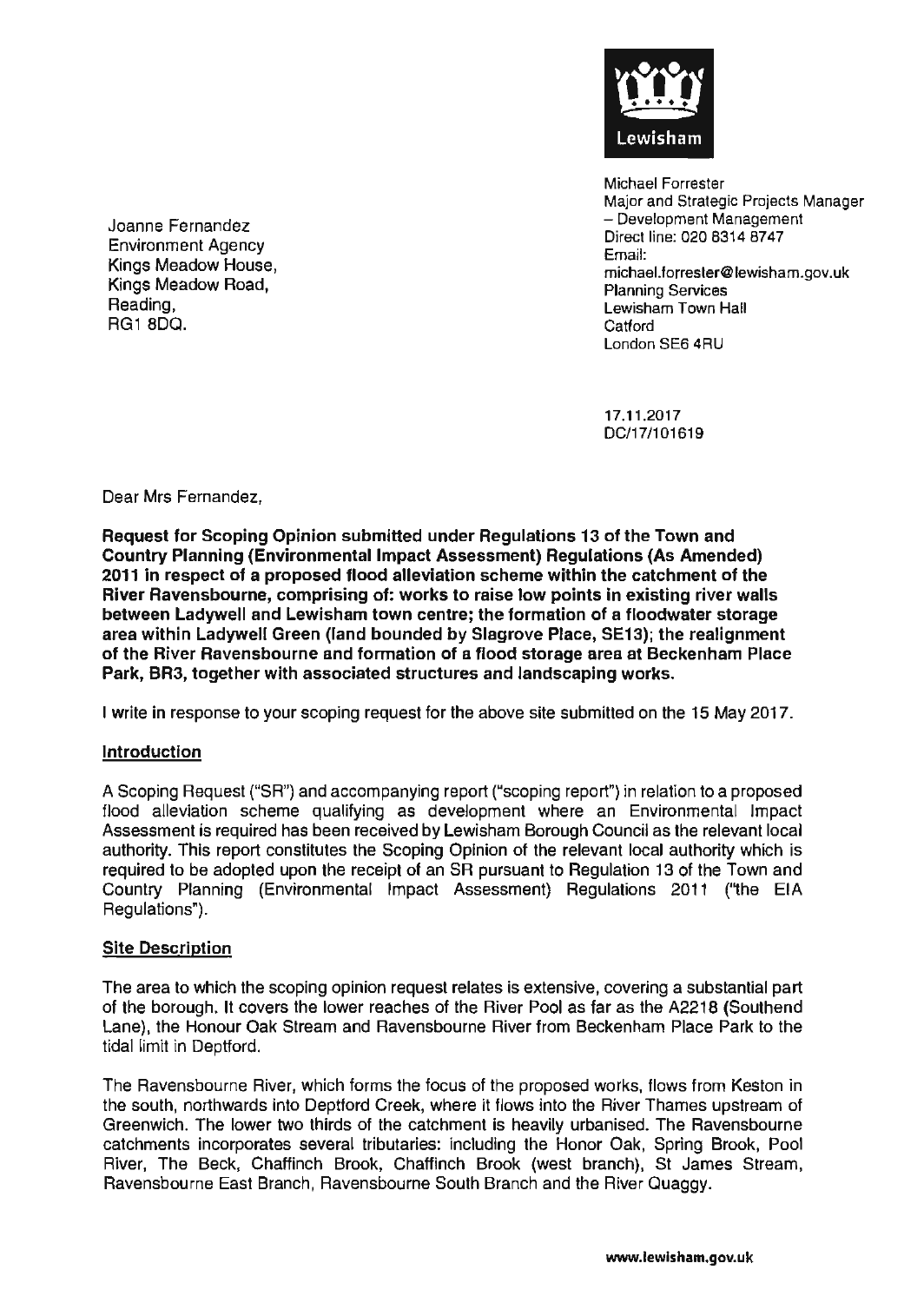

Michael Forrester Major and Strategic Projects Manager - Development Management Direct line: 020 8314 8747 Email: michael.forrester@lewisham.gov.uk Planning Services Lewisham Town Hall **Catford** London SE6 4RU

17.11.2017 DC/17/101619

Environment Agency Kings Meadow House, Kings Meadow Road, Reading, RG18DO.

Joanne Fernandez

Dear Mrs Fernandez,

Request for Scoping Opinion submitted under Regulations 13 of the Town and Country Planning (Environmental Impact Assessment) Regulations (As Amended) 2011 in respect of a proposed flood alleviation scheme within the catchment of the River Ravensbourne, comprising of: works to raise low points In existing river walls between Ladywell and Lewisham town centre; the formation of a floodwater storage area within Ladywell Green (land bounded by Slagrove Place, SE13); the realignment of the River Ravensbourne and formation of a flood storage area at Beckenham Place Park, BR3, together with associated structures and landscaping works.

I write in response to your scoping request for the above site submitted on the 15 May 2017.

#### **Introduction**

A Scoping Request ("SR") and accompanying report ("scoping report") in relation to a proposed flood alleviation scheme qualifying as development where an Environmental Impact Assessment is required has been received by Lewisham Borough Council as the relevant local authority. This report constitutes the Scoping Opinion of the relevant local authority which is required to be adopted upon the receipt of an SR pursuant to Regulation 13 of the Town and Country Planning (Environmental Impact Assessment) Regulations 2011 ('1he EIA Regulations").

#### Site Description

The area to which the scoping opinion request relates is extensive, covering a substantial part of the borough. It covers the lower reaches of the River Pool as far as the A2218 (Southend Lane), the Honour Oak Stream and Ravensbourne River from Beckenham Place Park to the tidal limit in Deptford.

The Ravensbourne River, which forms the focus of the proposed works, flows from Keston in the south, northwards into Deptford Creek, where it flows into the River Thames upstream of Greenwich. The lower two thirds of the catchment is heavily urbanised. The Ravensbourne catchments incorporates several tributaries: including the Honor Oak, Spring Brook, Pool River, The Beck, Chaffinch Brook, Chaffinch Brook (west branch), St James Stream, Ravensbourne East Branch, Ravensbourne South Branch and the River Ouaggy.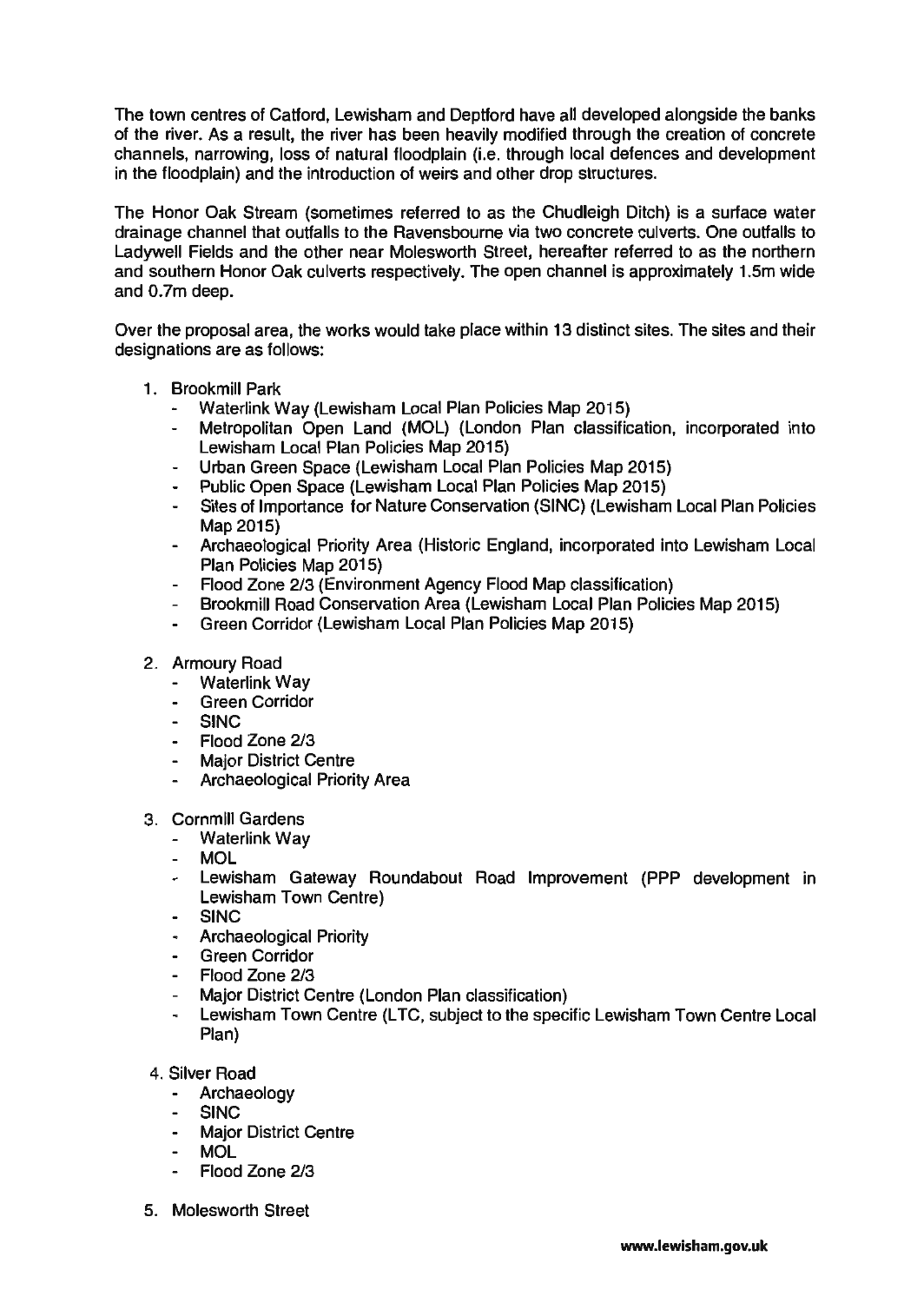The town centres of Catford, Lewisham and Deptford have all developed alongside the banks of the river. As a result, the river has been heavily modified through the creation of concrete channels, narrowing, loss of natural floodplain (i.e. through local defences and development in the floodplain) and the introduction of weirs and other drop structures.

The Honor Oak Stream (sometimes referred to as the Chudleigh Ditch) is a surface water drainage channel that outfalls to the Ravensbourne via two concrete culverts. One outfalls to Ladywell Fields and the other near Molesworth Street, hereafter referred to as the northern and southern Honor Oak culverts respectively. The open channel is approximately 1.5m wide and 0.7m deep.

Over the proposal area, the works would take place within 13 distinct sites. The sites and their designations are as follows:

- 1. Brookmill Park
	- Waterlink Way (Lewisham Local Plan Policies Map 2015)
	- Metropolitan Open Land (MOL) (London Plan classification, incorporated into Lewisham Local Plan Policies Map 2015)
	- Urban Green Space (Lewisham Local Plan Policies Map 2015)
	- Public Open Space (Lewisham Local Plan Policies Map 2015)
	- Sites of Importance for Nature Conservation (SINC) (Lewisham Local Plan Policies Map 2015)
	- Archaeological Priority Area (Historic England, incorporated into Lewisham Local Plan Policies Map 2015)
	- Flood Zone 2/3 (Environment Agency Flood Map classification)
	- Brookmill Road Conservation Area (Lewisham Local Plan Policies Map 2015)
	- Green Corridor (Lewisham Local Plan Policies Map 2015)
- 2. Armoury Road
	- $\sim$ Waterlink Way
	- Green Corridor
	- SINC
	- Flood Zone 2/3
	- Major District Centre
	- Archaeological Priority Area
- 3. Cornmill Gardens
	- Waterlink Way
	- MOL
	- Lewisham Gateway Roundabout Road Improvement (PPP development in Lewisham Town Centre)
	- SINC
	- Archaeological Priority
	- Green Corridor
	- Flood Zone 2/3
	- Major District Centre (London Plan classification)
	- Lewisham Town Centre (LTC, subject to the specific Lewisham Town Centre Local Plan)
- 4. Silver Road
	- Archaeology
	- SINC
	- Major District Centre
	- MOL
	- Flood Zone 2/3
- 5. Molesworth Street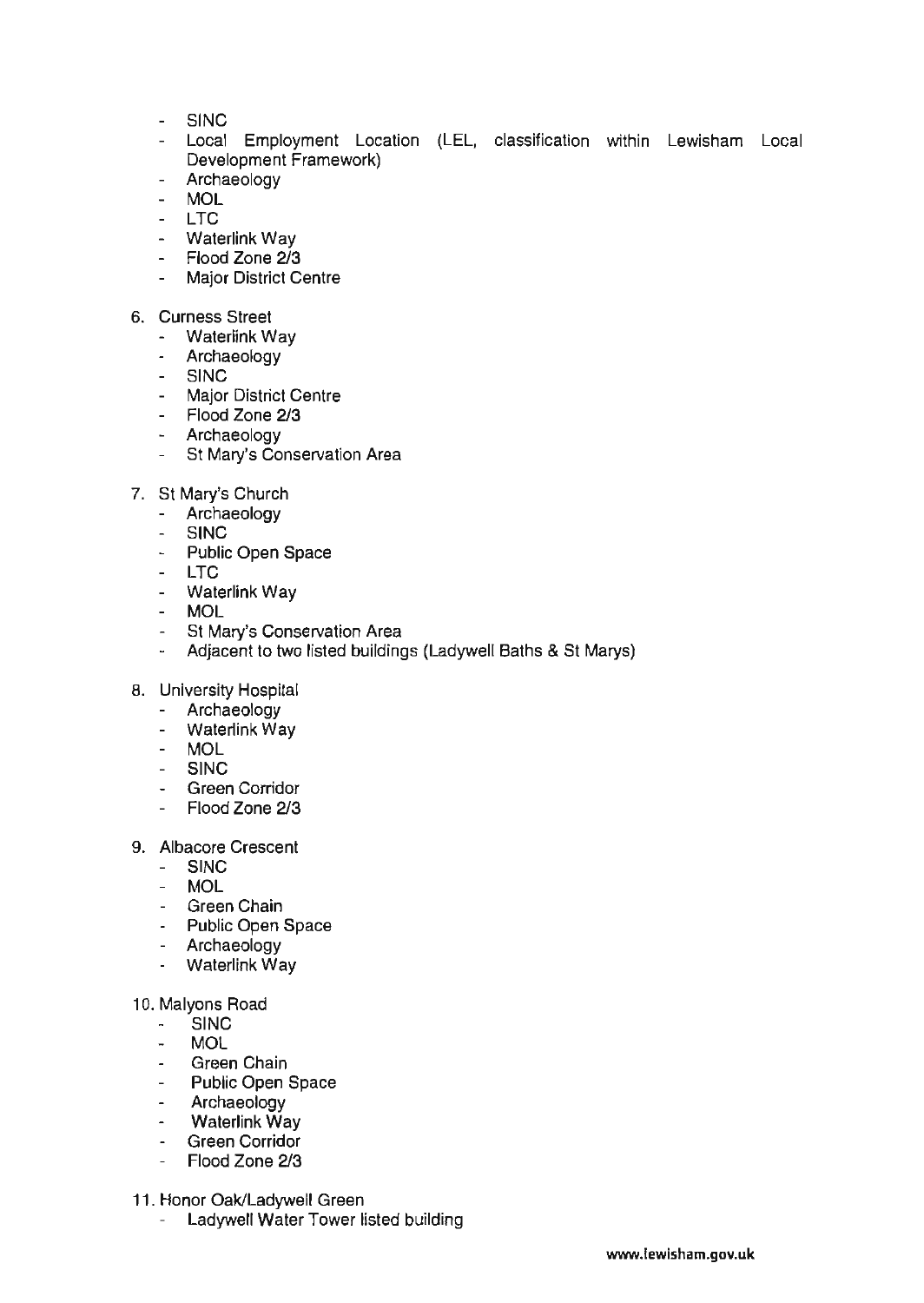- SINC
- Local Employment Location (LEL, classification within Lewisham Local Development Framework)
- Archaeology
- MOL
- LTC
- Waterlink Way
- Flood Zone 2/3
- Major District Centre
- 6. Curness Street
	- Waterlink Wav
	- Archaeology
	- SINC
	- Major District Centre
	- Flood Zone 2/3
	- Archaeology
	- St Mary's Conservation Area
- 7. St Mary's Church
	- Archaeology
	- $\mathbf{r}$ SINC
	- Public Open Space
	- LTC
	- Waterlink Way
	- MOL
	- St Mary's Conservation Area
	- Adjacent to two listed buildings (Ladywell Baths & St Marys)
- 8. University Hospital
	- Archaeology
	- Waterlink Wav
	- MOL
	- SINC
	- Green Corridor
	- Flood Zone 2/3
- 9. Albacore Crescent
	- **SINC**
	- MOL
	- Green Chain
	- Public Open Space
	- Archaeology
	- Waterlink Way

## 10. Malyons Road

- SINC
- MOL
- Green Chain
- Public Open Space
- Archaeology
- Waterlink Way
- Green Corridor
- Flood Zone 2/3
- 11. Honor Oak/Ladywell Green
	- Ladywell Water Tower listed building  $\sim$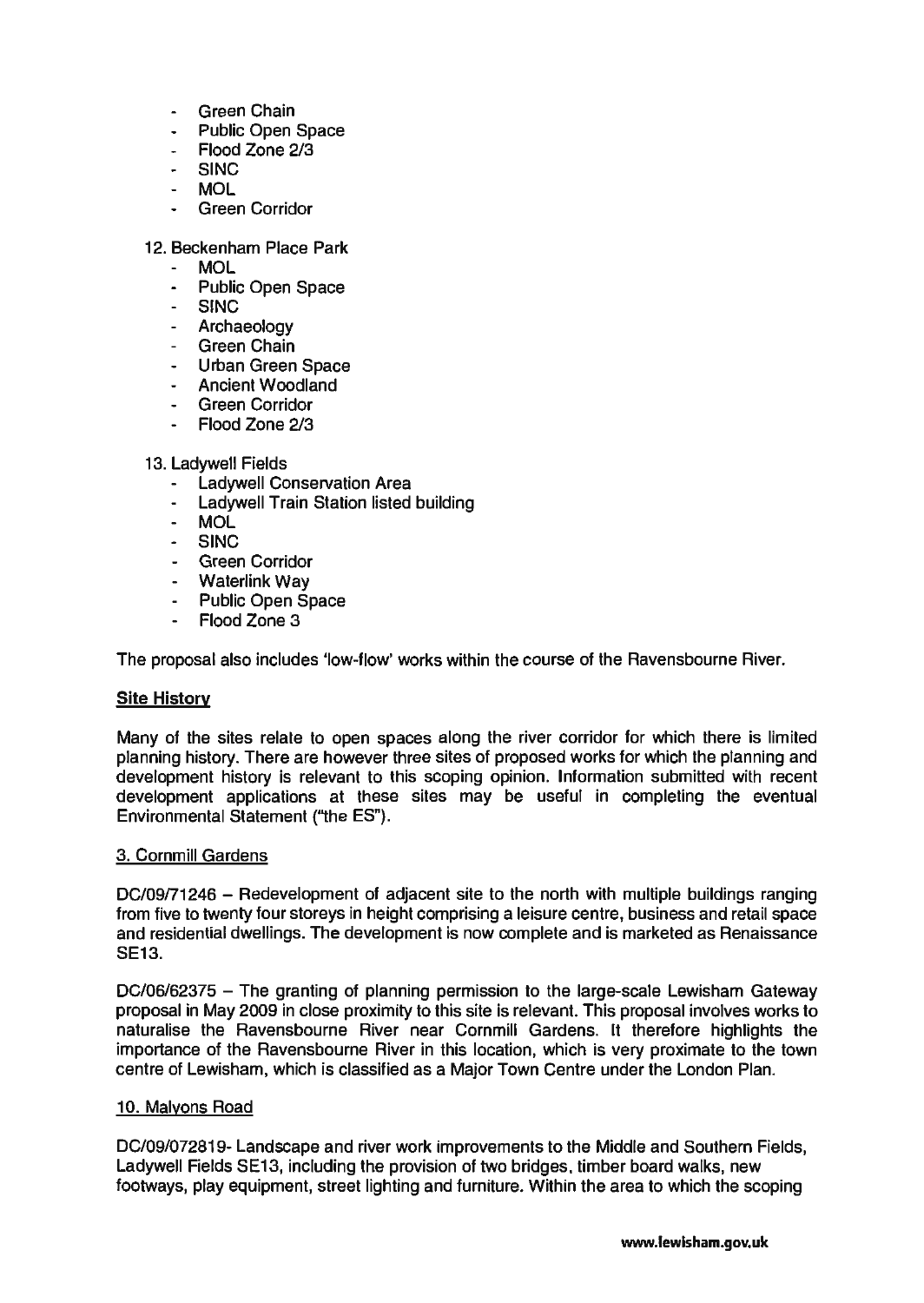- Green Chain
- Public Open Space
- Flood Zone 2/3
- SINC
- MOL
- Green Corridor

## 12. Beckenham Place Park

- MOL
- Public Open Space
- SINC
- Archaeology
- Green Chain
- Urban Green Space
- Ancient Woodland
- Green Corridor
- Flood Zone 2/3
- 13. Ladywell Fields
	- Ladywell Conservation Area
	- Ladywell Train Station listed building
	- MOL
	- SINC
	- Green Corridor
	- Waterlink Wav
	- Public Open Space
	- Flood Zone 3

The proposal also includes 'Iow-flow' works within the course of the Ravensbourne River.

## Site History

Many of the sites relate to open spaces along the river corridor for which there is limited planning history. There are however three sites of proposed works for which the planning and development history is relevant to this scoping opinion. Information submitted with recent development applications at these sites may be useful in completing the eventual Environmental Statement ("the ES").

## 3. Cornmili Gardens

DC/09/71246 - Redevelopment of adjacent site to the north with multiple buildings ranging from five to twenty four storeys in height comprising a leisure centre, business and retail space and residential dwellings. The development is now complete and is marketed as Renaissance SE13.

DC/06/62375 - The granting of planning permission to the large-scale Lewisham Gateway proposal in May 2009 in close proximity to this site is relevant. This proposal involves works to naturalise the Ravensbourne River near Cornmill Gardens. It therefore highlights the importance of the Ravensbourne River in this location, which is very proximate to the town centre of Lewisham, which is classified as a Major Town Centre under the London Plan.

## 10. Malyons Road

DC/09/072819- Landscape and river work improvements to the Middle and Southern Fields, Ladyweli Fields SE13, including the provision of two bridges, timber board walks, new footways, play equipment, street lighting and furniture. Within the area to which the scoping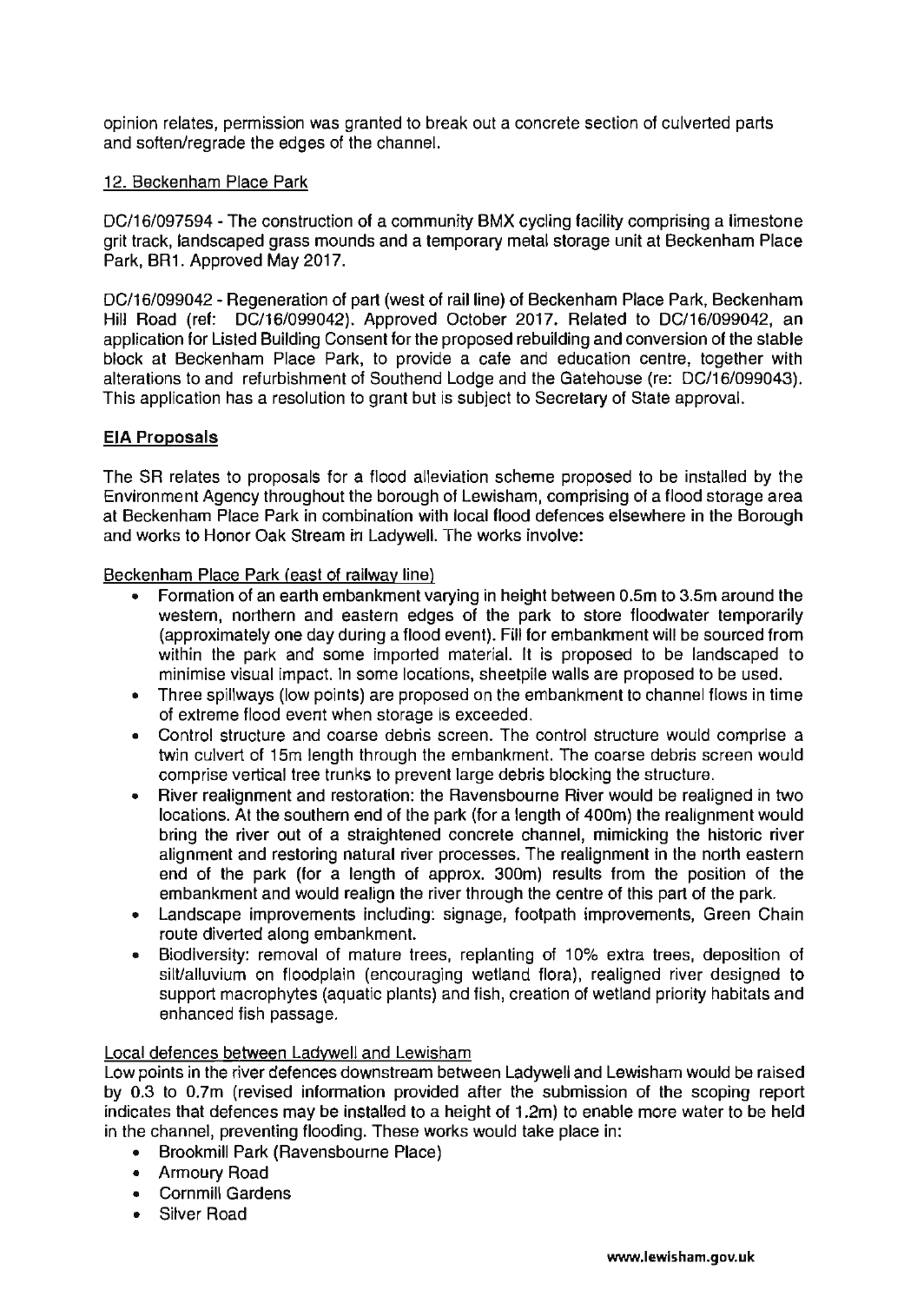opinion relates, permission was granted to break out a concrete section of culverted parts and soften/regrade the edges of the channel.

### 12. Beckenham Place Park

DC/16/097594 - The construction of a community BMX cycling facility comprising a limestone grit track, landscaped grass mounds and a temporary metal storage unit at Beckenham Place Park, BR1. Approved May 2017.

DC/16/099042 - Regeneration of part (west of rail line) of Beckenham Place Park, Beckenham Hill Road (ref: DC/16/099042). Approved October 2017. Related to DC/16/099042, an application for Listed Building Consent for the proposed rebuilding and conversion of the stable block at Beckenham Place Park, to provide a cafe and education centre, together with alterations to and refurbishment of Southend Lodge and the Gatehouse (re: DC/16/099043). This application has a resolution to grant but is subject to Secretary of State approval.

## **EIA Proposals**

The SR relates to proposals for a flood alleviation scheme proposed to be installed by the Environment Agency throughout the borough of Lewisham, comprising of a flood storage area at Beckenham Place Park in combination with local flood defences elsewhere in the Borough and works to Honor Oak Stream in Ladywell. The works involve:

Beckenham Place Park (east of railway line)

- Formation of an earth embankment varying in height between 0.5m to 3.5m around the western, northern and eastern edges of the park to store floodwater temporarily (approximately one day during a flood event). Fill for embankment will be sourced from within the park and some imported material. It is proposed to be landscaped to minimise visual impact. In some locations, sheetpile walls are proposed to be used.
- Three spillways (Iow points) are proposed on the embankment to channel flows in time of extreme flood event when storage is exceeded.
- Control structure and coarse debris screen. The control structure would comprise a twin culvert of 15m length through the embankment. The coarse debris screen would comprise vertical tree trunks to prevent large debris blocking the structure.
- River realignment and restoration: the Ravensbourne River would be realigned in two locations. At the southern end of the park (for a length of 400m) the realignment would bring the river out of a straightened concrete channel, mimicking the historic river alignment and restoring natural river processes. The realignment in the north eastern end of the park (for a length of approx. 300m) results from the position of the embankment and would realign the river through the centre of this part of the park.
- Landscape improvements including: signage, footpath improvements, Green Chain route diverted along embankment.
- Biodiversity: removal of mature trees, replanting of 10% extra trees, deposition of silt/alluvium on floodplain (encouraging wetland flora), realigned river designed to support macrophytes (aquatic plants) and fish, creation of wetland priority habitats and enhanced fish passage.

#### Local defences between Ladywell and Lewisham

Low points in the river defences downstream between Ladywell and Lewisham would be raised by 0.3 to 0.7m (revised information provided after the submission of the scoping report indicates that defences may be installed to a height of 1.2m) to enable more water to be held in the channel, preventing flooding. These works would take place in:

- Brookmill Park (Ravensbourne Place)
- Armoury Road
- Cornmill Gardens
- Silver Road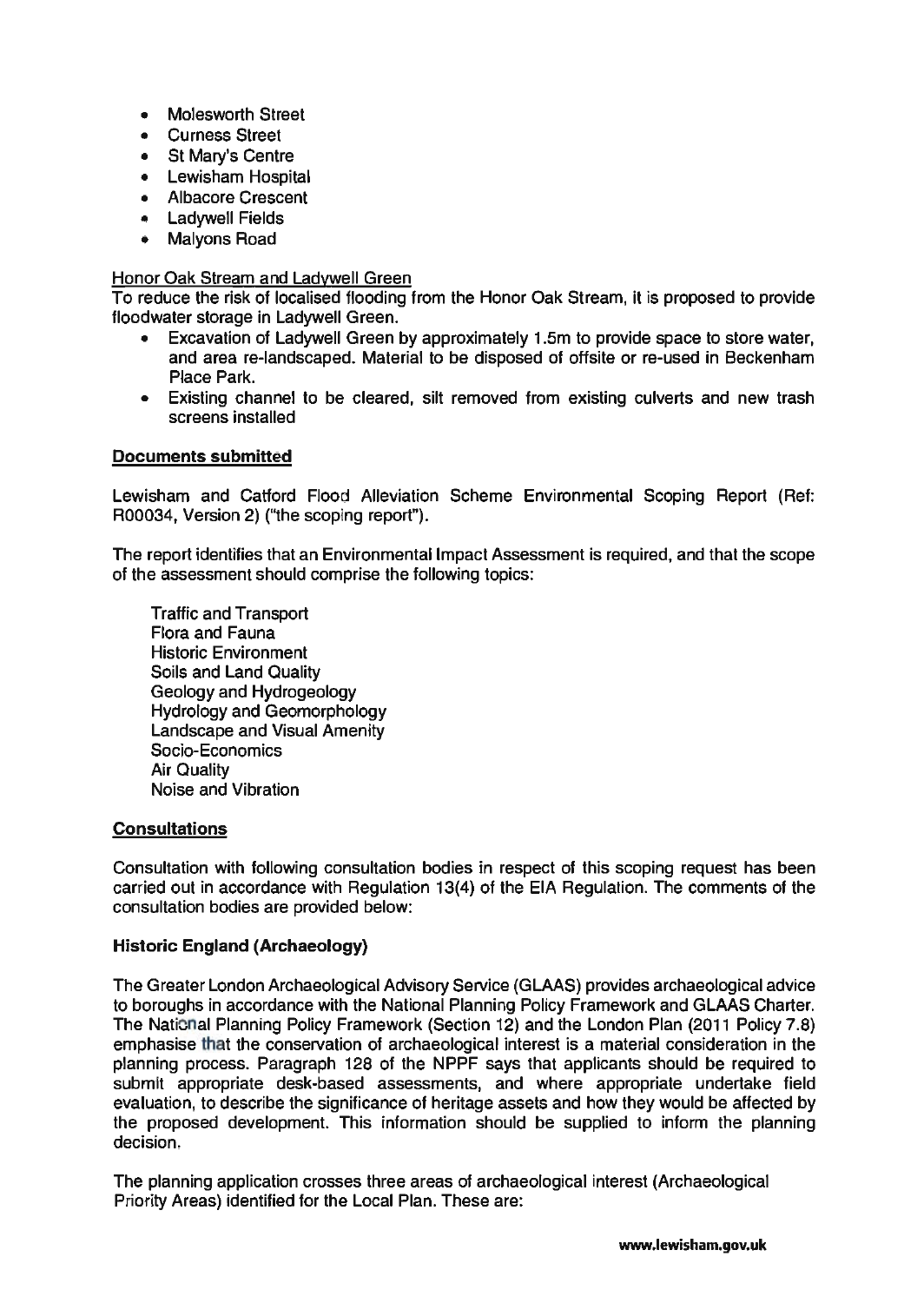- Molesworth Street
- Curness Street
- St Mary's Centre
- Lewisham Hospital
- Albacore Crescent
- Ladywell Fields
- Malyons Road

### Honor Oak Stream and Ladvwell Green

To reduce the risk of localised flooding from the Honor Oak Stream, it is proposed to provide floodwater storage in Ladywell Green.

- Excavation of Ladywell Green by approximately 1.Sm to provide space to store water, and area re-landscaped. Material to be disposed of offsite or re-used in Beckenham Place Park.
- Existing channel to be cleared, silt removed from existing culverts and new trash screens installed

### Documents submitted

Lewisham and Catford Flood Alleviation Scheme Environmental Scoping Report (Ref: R00034, Version 2) ("the scoping report").

The report identifies that an Environmental Impact Assessment is required, and that the scope of the assessment should comprise the following topics:

Traffic and Transport Flora and Fauna Historic Environment Soils and Land Quality Geology and Hydrogeology Hydrology and Geomorphology Landscape and Visual Amenity Socio-Economics Air Quality Noise and Vibration

## **Consultations**

Consultation with following consultation bodies in respect of this scoping request has been carried out in accordance with Regulation 13(4) of the EIA Regulation. The comments of the consultation bodies are provided below:

## Historic England (Archaeology)

The Greater London Archaeological Advisory Service (GLAAS) provides archaeological advice to boroughs in accordance with the National Planning Policy Framework and GLAAS Charter. The National Planning Policy Framework (Section 12) and the London Plan (2011 Policy 7.8) emphasise that the conservation of archaeological interest is a material consideration in the planning process. Paragraph 128 of the NPPF says that applicants should be required to submit appropriate desk-based assessments, and where appropriate undertake field evaluation, to describe the significance of heritage assets and how they would be affected by the proposed development. This information should be supplied to inform the planning decision.

The planning application crosses three areas of archaeological interest (Archaeological Priority Areas) identified for the Local Plan. These are: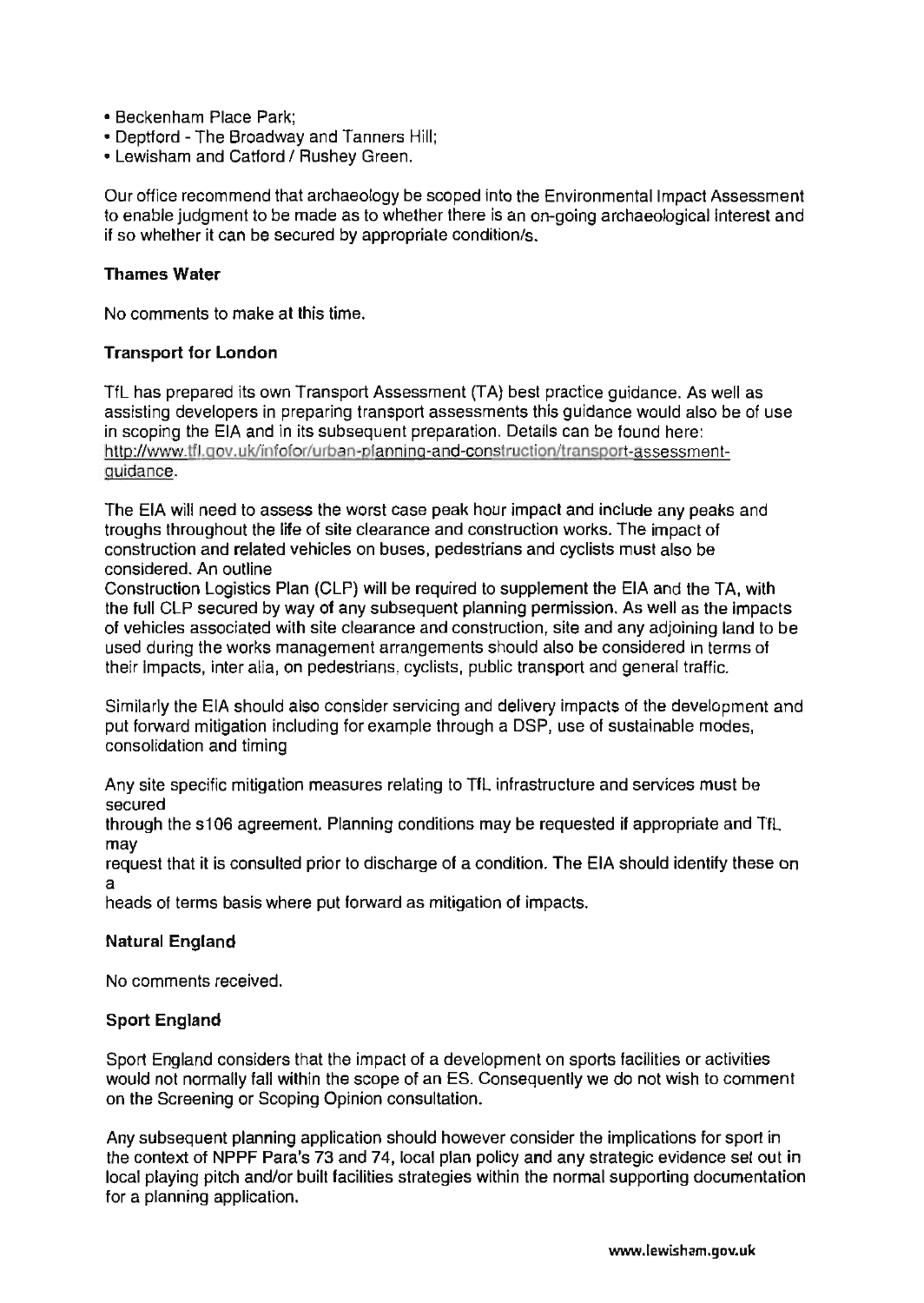- Beckenham Place Park;
- Deptford The Broadway and Tanners Hill;
- Lewisham and Catford / Rushey Green.

Our office recommend that archaeology be scoped into the Environmental Impact Assessment to enable judgment to be made as to whether there is an on-going archaeological interest and if so whether it can be secured by appropriate condition/s.

### Thames Water

No comments to make at this time.

### Transport for London

TfL has prepared its own Transport Assessment (TA) best practice guidance. As well as assisting developers in preparing transport assessments this guidance would also be of use in scoping the EIA and in its subsequent preparation. Details can be found here: http://www.tfl.gov.uk/infofor/urban-planning-and-construction/transport-assessmentguidance.

The EIA will need to assess the worst case peak hour impact and include any peaks and troughs throughout the life of site clearance and construction works. The impact of construction and related vehicles on buses, pedestrians and cyclists must also be considered. An outline

Construction Logistics Plan (CLP) will be required to supplement the EIA and the TA, with the full CLP secured by way of any subsequent planning permission. As well as the impacts of vehicles associated with site clearance and construction, site and any adjoining land to be used during the works management arrangements should also be considered in terms of their Impacts, inter alia, on pedestrians, cyclists, public transport and general traffic.

Similarly the EIA should also consider servicing and delivery impacts of the development and put forward mitigation including for example through a DSP, use of sustainable modes, consolidation and timing

Any site specific mitigation measures relating to TfL infrastructure and services must be secured

through the s106 agreement. Planning conditions may be requested if appropriate and TfL may

request that it is consulted prior to discharge of a condition. The EIA should identify these on a

heads of terms basis where put forward as mitigation of impacts.

## Natural England

No comments received.

#### Sport England

Sport England considers that the impact of a development on sports facilities or activities would not normally fall within the scope of an ES. Consequently we do not wish to comment on the Screening or Scoping Opinion consultation.

Any subsequent planning application should however consider the implications for sport in the context of NPPF Para's 73 and 74, local plan policy and any strategic evidence set out in local playing pitch and/or built facilities strategies within the normal supporting documentation for a planning application.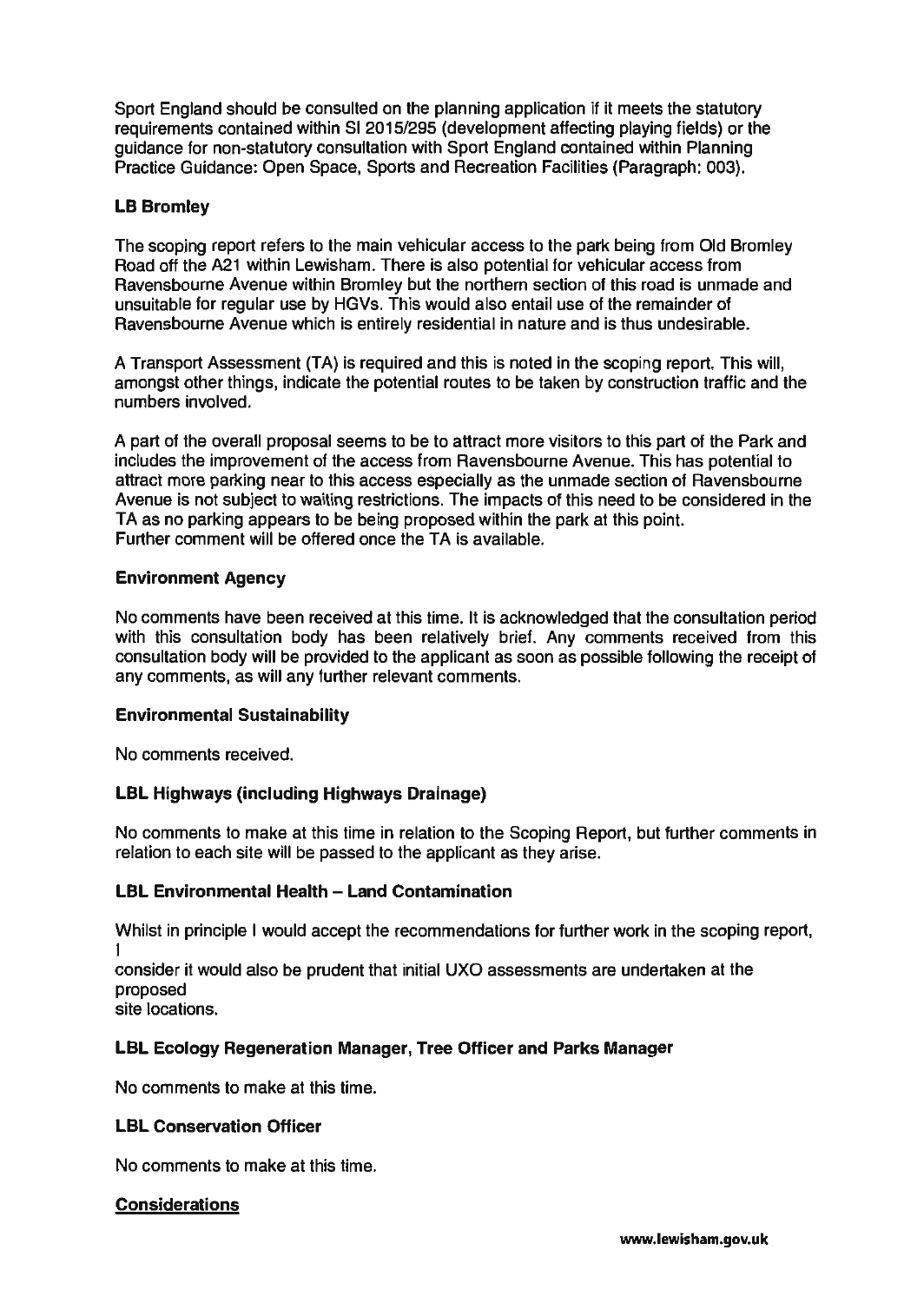Sport England should be consulted on the planning application if it meets the statutory requirements contained within SI *2015/295* (development affecting playing fields) or the guidance for non-statutory consultation with Sport England contained within Planning Practice Guidance: Open Space, Sports and Recreation Facilities (Paragraph: 003).

# **LB** Bromley

The scoping report refers to the main vehicular access to the park being from Old Bromley Road off the A21 within Lewisham. There is also potential for vehicular access from Ravensbourne Avenue within Bromley but the northern section of this road is unmade and unsuitable for regular use by HGVs. This would also entail use of the remainder of Ravensbourne Avenue which is entirely residential in nature and is thus undesirable.

A Transport Assessment (TA) is required and this is noted in the scoping report. This will, amongst other things, indicate the potential routes to be taken by construction traffic and the numbers involved.

A part of the overall proposal seems to be to attract more visitors to this part of the Park and includes the improvement of the access from Ravensbourne Avenue. This has potential to attract more parking near to this access especially as the unmade section of Ravensbourne Avenue is not subject to waiting restrictions. The impacts of this need to be considered in the TA as no parking appears to be being proposed within the park at this point. Further comment will be offered once the TA is available.

### Environment Agency

No comments have been received at this time. It is acknowledged that the consultation period with this consultation body has been relatively brief. Any comments received from this consultation body will be provided to the applicant as soon as possible following the receipt of any comments, as will any further relevant comments.

#### Environmental Sustainability

No comments received.

## **LBL** Highways (including Highways Drainage)

No comments to make at this time in relation to the Scoping Report, but further comments in relation to each site will be passed to the applicant as they arise.

## **LBL Environmental Health - Land Contamination**

Whilst in principle I would accept the recommendations for further work in the scoping report, I

consider it would also be prudent that initial UXO assessments are undertaken at the proposed site locations.

## **LBL** Ecology Regeneration Manager, Tree Officer and Parks Manager

No comments to make at this time.

## **LBL** Conservation Officer

No comments to make at this time.

## Considerations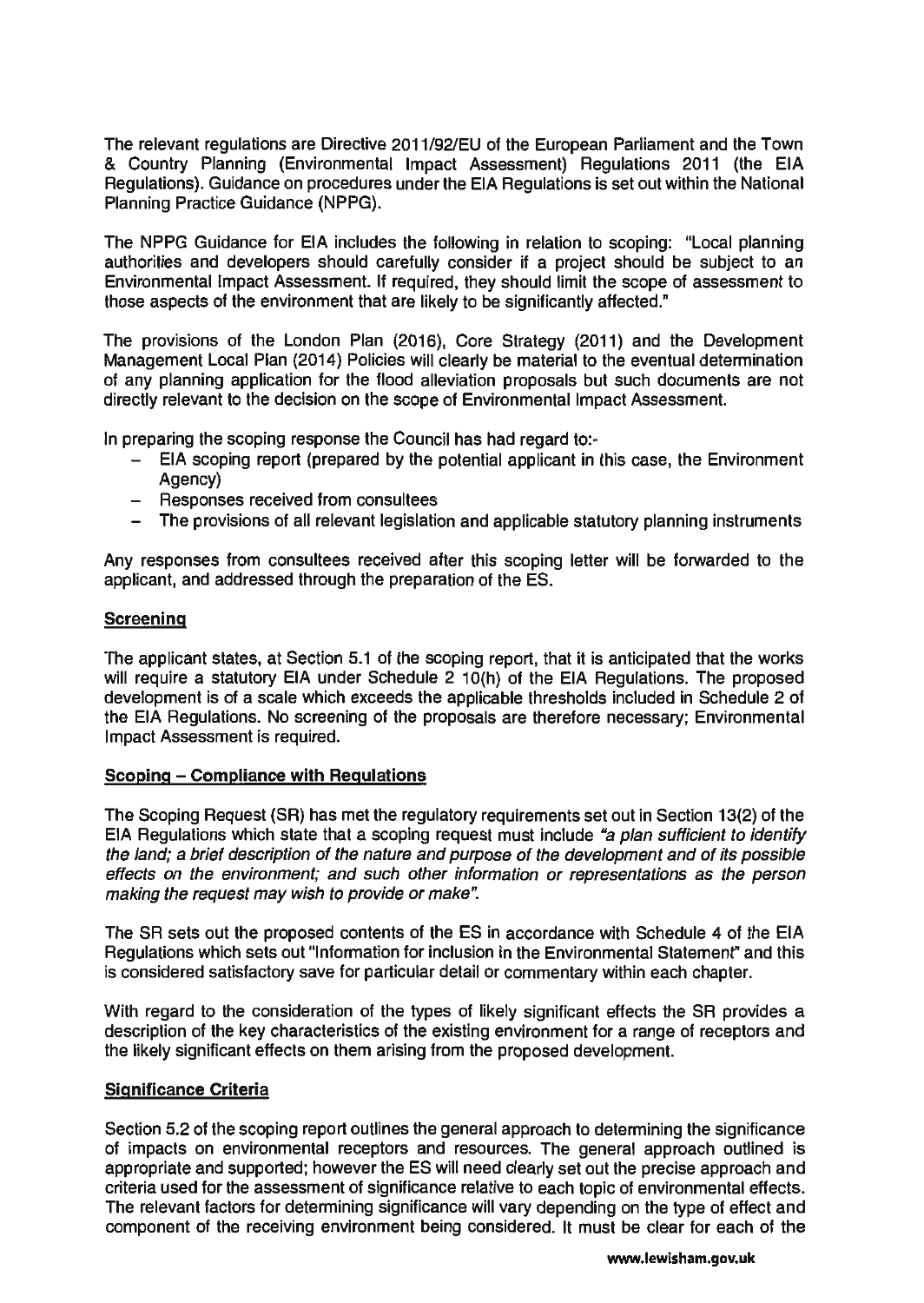The relevant regulations are Directive 2011/921EU of the European Parliament and the Town & Country Planning (Environmental Impact Assessment) Regulations 2011 (the EIA Regulations). Guidance on procedures under the EIA Regulations is set out within the National Planning Practice Guidance (NPPG).

The NPPG Guidance for EIA includes the following in relation to scoping: "Local planning authorities and developers should carefully consider if a project should be subject to an Environmental Impact Assessment. If required, they should limit the scope of assessment to those aspects of the environment that are likely to be significantly affected."

The provisions of the London Plan (2016), Core Strategy (2011) and the Development Management Local Plan (2014) Policies will clearly be material to the eventual determination of any planning application for the flood alleviation proposals but such documents are not directly relevant to the decision on the scope of Environmental Impact Assessment.

In preparing the scoping response the Council has had regard to:-

- EIA scoping report (prepared by the potential applicant in this case, the Environment Agency)
- Responses received from consultees
- The provisions of all relevant legislation and applicable statutory planning instruments

Any responses from consultees received after this scoping letter will be forwarded to the applicant, and addressed through the preparation of the ES.

### **Screening**

The applicant states, at Section 5.1 of the scoping report, that it is anticipated that the works will require a statutory EIA under Schedule 2 10(h) of the EIA Regulations. The proposed development is of a scale which exceeds the applicable thresholds included in Schedule 2 of the EIA Regulations. No screening of the proposals are therefore necessary; Environmental Impact Assessment is required.

#### Scoping - Compliance with Regulations

The Scoping Request (SR) has met the regulatory requirements set out in Section 13(2) of the EIA Regulations which state that a scoping request must include "a plan sufficient to identify the land; a brief description of the nature and purpose of the development and of its possible effects on the environment; and such other information or representations as the person making the request may wish to provide or make".

The SR sets out the proposed contents of the ES in accordance with Schedule 4 of the EIA Regulations which sets out "Information for inclusion in the Environmental Statement" and this is considered satisfactory save for particular detail or commentary within each chapter.

With regard to the consideration of the types of likely significant effects the SR provides a description of the key characteristics of the existing environment for a range of receptors and the likely significant effects on them arising from the proposed development.

#### Significance Criteria

Section 5.2 of the scoping report outlines the general approach to determining the significance of impacts on environmental receptors and resources. The general approach outlined is appropriate and supported; however the ES will need clearly set out the precise approach and criteria used for the assessment of significance relative to each topic of environmental effects. The relevant factors for determining significance will vary depending on the type of effect and component of the receiving environment being considered. It must be clear for each of the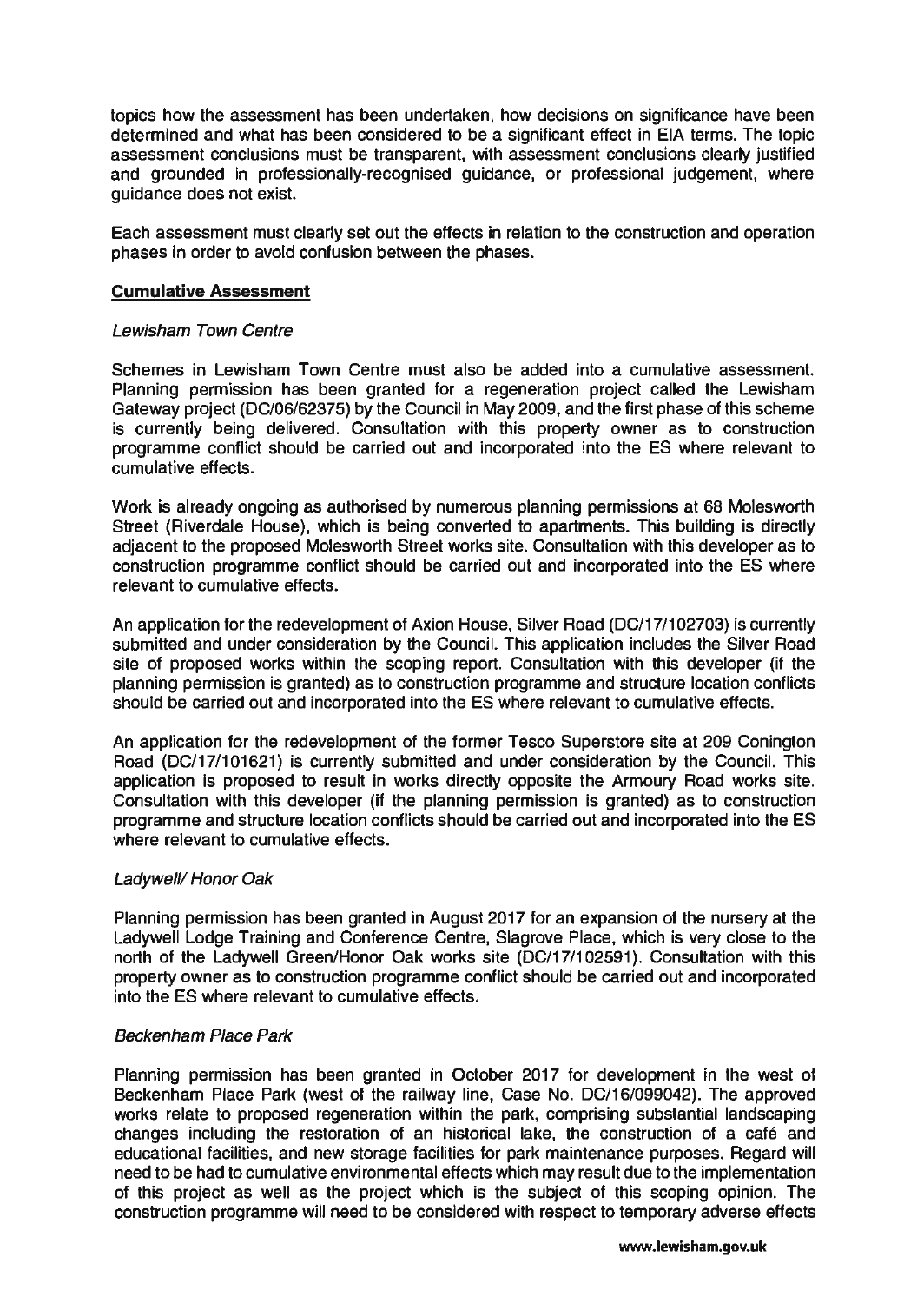topics how the assessment has been undertaken, how decisions on significance have been determined and what has been considered to be a significant effect in EIA terms. The topic assessment conclusions must be transparent, with assessment conclusions clearly justified and grounded in professionally-recognised guidance, or professional judgement, where guidance does not exist.

Each assessment musl clearly set out the effects in relation to the construction and operation phases in order 10 avoid confusion between the phases.

## **Cumulative** Assessment

### Lewisham Town Centre

Schemes in Lewisham Town Centre must also be added into a cumulative assessment. Planning permission has been granted for a regeneration project called the Lewisham Gateway project (DC/06/62375) by the Council in May 2009, and the first phase of this scheme is currently being delivered. Consultation with this property owner as to construction programme conflict should be carried out and incorporated into the ES where relevant to cumulative effects.

Work is already ongoing as authorised by numerous planning permisslons at 68 Molesworth Street (Riverdale House), which is being converted to apartments. This building is directly adjacent to the proposed Molesworth Street works site. Consultation with this developer as to construction programme conflict should be carried out and incorporated into the ES where relevant to cumulative effects.

An application for the redevelopment of Axion House, Silver Road (DC/17/102703) is currently submitted and under consideration by the Council. This application includes the Silver Road site of proposed works within the scoping report. Consultation with this developer (if the planning permission is granted) as to construction programme and structure location conflicts should be carried out and incorporated into the ES where relevant to cumulative effects.

An application for the redevelopment of the former Tesco Superstore site at 209 Conington Road (DC/17/101621) is currently submitted and under consideration by the Council. This application is proposed to result in works directly opposite the Armoury Road works site. Consultation with this developer (if the planning permission is granted) as to construction programme and structure location conflicts should be carried out and incorporated into the ES where relevant to cumulative effects.

## Ladywell/Honor Oak

Planning permission has been granted in August 2017 for an expansion of the nursery at the Ladywell Lodge Training and Conference Centre, Slagrove Place, which is very close to the north of the Ladywell Green/Honor Oak works site (DC/17/1 02591). Consultation with this property owner as to construction programme conflict should be carried out and incorporated into the ES where relevant to cumulative effects.

## Beckenham Place Park

Planning permission has been granted in October 2017 for development in the west of Beckenham Place Park (west of the railway line, Case No. DC/16/099042). The approved works relate to proposed regeneration within the park, comprising substantial landscaping changes including the restoration of an historical lake, the construction of a cafe and educational facilities, and new storage facilities for park maintenance purposes. Regard will need to be had to cumulative environmental effects which may result due to the implementation of this project as well as the project which is the subject of this scoping opinion. The construction programme will need to be considered with respect to temporary adverse effects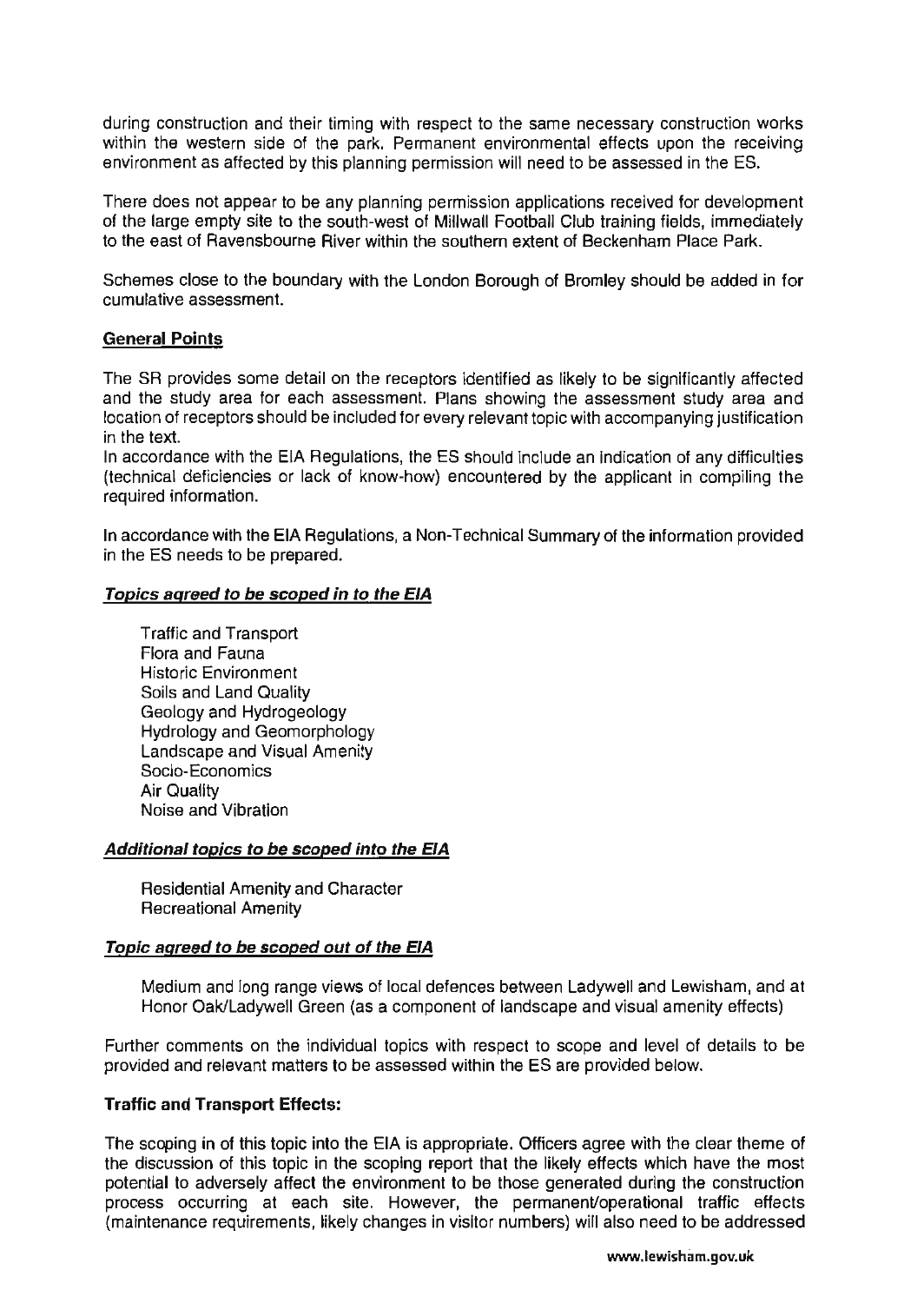during construction and their timing with respect to the same necessary construction works within the western side of the park. Permanent environmental effects upon the receiving environment as affected by this planning permission will need to be assessed in the ES.

There does not appear to be any planning permission applications received for development of the large empty site to the south-west of Millwall Football Club training fields, immediately to the east of Ravensbourne River within the southern extent of Beckenham Place Park.

Schemes close to the boundary with the London Borough of Bromley should be added in for cumulative assessment.

### General Points

The SR provides some detail on the receptors identified as likely to be significantly affected and the study area for each assessment. Plans showing the assessment study area and location of receptors should be included for every relevant topic with accompanying justification in the text.

In accordance with the EIA Regulations, the ES should include an indication of any difficulties (technical deficiencies or lack of know-how) encountered by the applicant in compiling the required information.

In accordance with the EIA Regulations, a Non-Technical Summary of the information provided in the ES needs to be prepared.

### Topics agreed to be seoped in to the EIA

Traffic and Transport Flora and Fauna Historic Environment Soils and Land Quality Geology and Hydrogeology Hydrology and Geomorphology Landscape and Visual Amenity Socio-Economics Air Quality Noise and Vibration

### Additional topics to be seoped into the EIA

Residential Amenity and Character Recreational Amenity

#### Topic agreed to be seoped out of the EIA

Medium and long range views of local defences between Ladywell and Lewisham, and at Honor OaklLadywell Green (as a component of landscape and visual amenity effects)

Further comments on the individual topics with respect to scope and level of details to be provided and relevant matters to be assessed within the ES are provided below.

## Traffic and Transport Effects:

The scoping in of this topic into the EIA is appropriate. Officers agree with the clear theme of the discussion of this topic in the scoping report that the likely effects which have the most potential to adversely affect the environment to be those generated during the construction process occurring at each site. However, the permanent/operational traffic effects (maintenance requirements, likely changes in visitor numbers) will also need to be addressed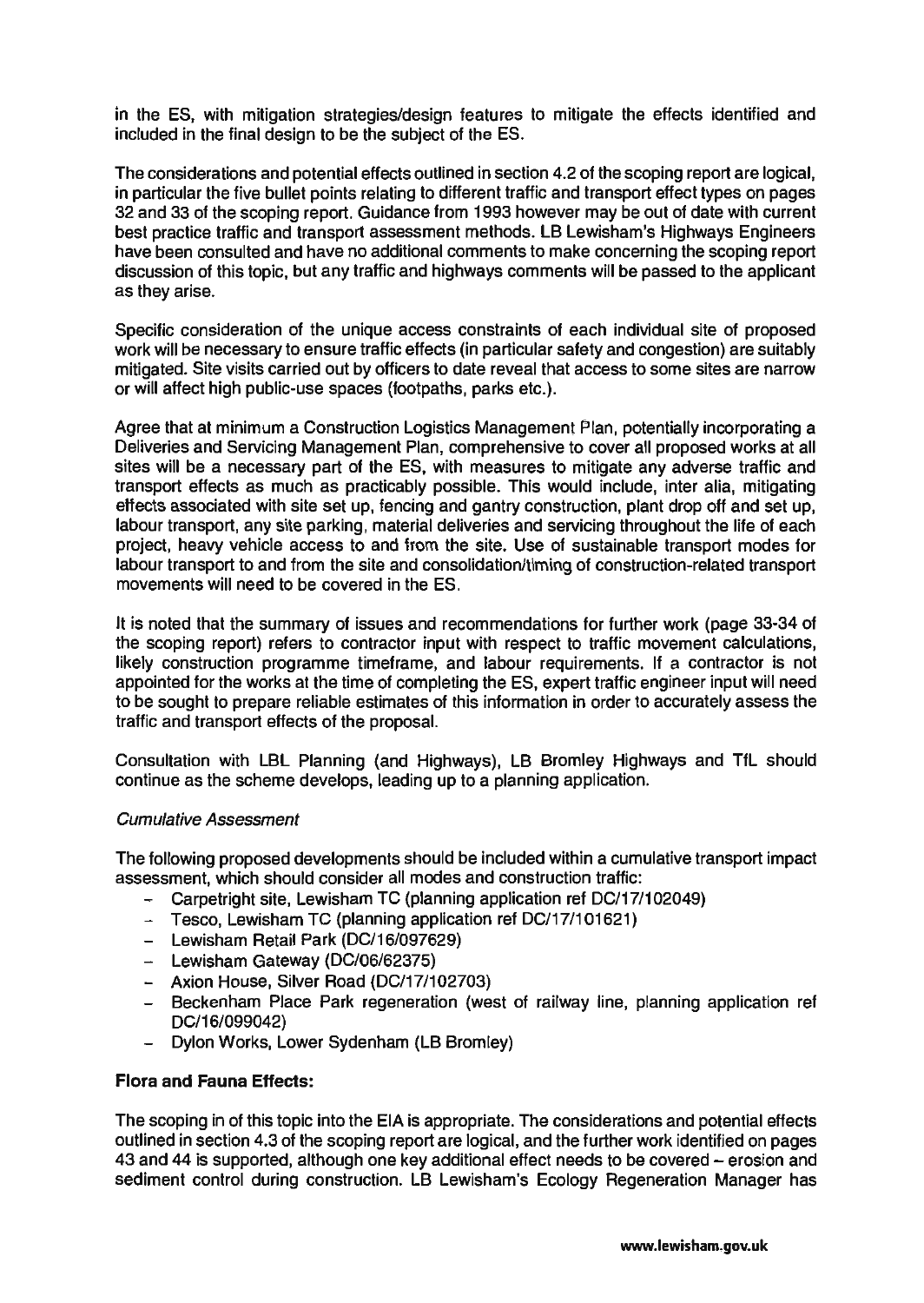in the ES, with mitigation strategies/design features to mitigate the effects identified and included in the final design to be the subject of the ES.

The considerations and potential effects outlined in section 4.2 of the scoping report are logical, in particular the five bullet points relating to different traffic and transport effect types on pages 32 and 33 of the scoping report. Guidance from 1993 however may be out of date with current best practice traffic and transport assessment methods. LB Lewisham's Highways Engineers have been consulted and have no additional comments to make concerning the scoping report discussion of this topic, but any traffic and highways comments will be passed to the applicant as they arise.

Specific consideration of the unique access constraints of each individual site of proposed work will be necessary to ensure traffic effects (in particular safety and congestion) are suitably mitigated. Site visits carried out by officers to date reveal that access to some sites are narrow or will affect high public-use spaces (footpaths, parks etc.).

Agree that at minimum a Construction Logistics Management Plan, potentially incorporating a Deliveries and Servicing Management Plan, comprehensive to cover all proposed works at all sites will be a necessary part of the ES, with measures to mitigate any adverse traffic and transport effects as much as practicably possible. This would include, inter alia, mitigating effects associated with site set up, fencing and gantry construction, plant drop off and set up, labour transport, any site parking, material deliveries and servicing throughout the life of each project, heavy vehicle access to and from the site. Use of sustainable transport modes for labour transport to and from the site and consolidation/timing of construction-related transport movements will need to be covered in the ES.

It is noted that the summary of issues and recommendations for further work (page 33-34 of the scoping report) refers to contractor input with respect to traffic movement calculations, likely construction programme timeframe, and labour requirements. If a contractor is not appointed for the works at the time of completing the ES, expert traffic engineer input will need to be sought to prepare reliable estimates of this information in order to accurately assess the traffic and transport effects of the proposal.

Consultation with LBL Planning (and Highways), LB Bromley Highways and TfL should continue as the scheme develops, leading up to a planning application.

#### Cumulative Assessment

The following proposed developments should be included within a cumulative transport impact assessment, which should consider all modes and construction traffic:

- Carpetright site, Lewisham TC (planning application ref DC/17/102049)
- $-$  Tesco, Lewisham TC (planning application ref DC/17/101621)
- Lewisham Retail Park (DC/16/097629)
- Lewisham Gateway (DC/06/62375)
- Axion House, Silver Road (DC/17/102703)
- Beckenham Place Park regeneration (west of railway line, planning application ref DC/16/099042)
- $-$ Dylon Works, Lower Sydenham (LB Bromley)

#### Flora and Fauna Effects:

The scoping in of this topic into the EIA is appropriate. The considerations and potential effects outlined in section 4.3 of the scoping report are logical, and the further work identified on pages 43 and 44 is supported, although one key additional effect needs to be covered - erosion and sediment control during construction. LB Lewisham's Ecology Regeneration Manager has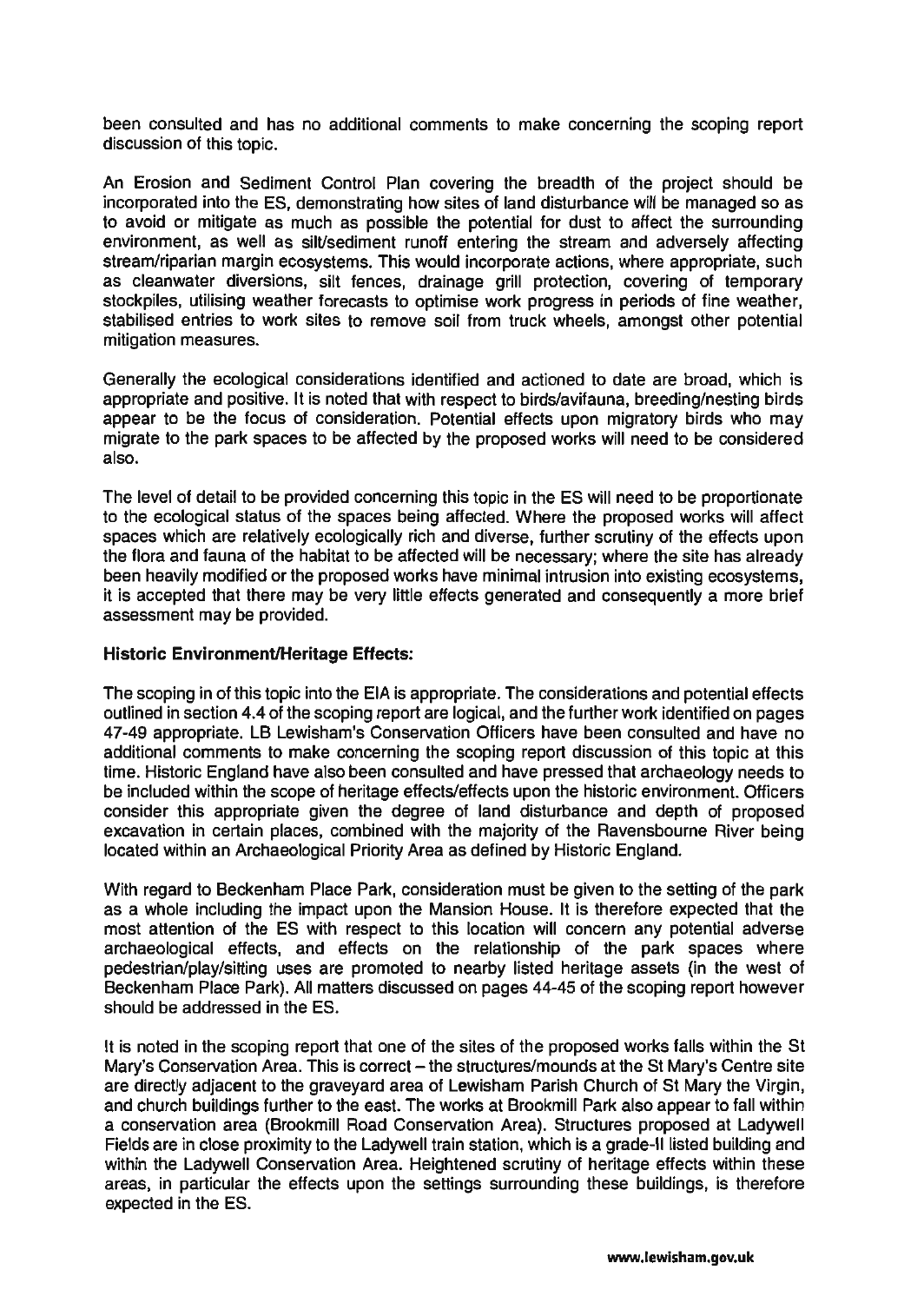been consulted and has no additional comments to make concerning the scoping report discussion of this topic.

An Erosion and Sediment Control Plan covering the breadth of the project should be incorporated into the ES, demonstrating how sites of land disturbance will be managed so as to avoid or mitigate as much as possible the potential for dust to affect the surrounding environment, as well as silVsediment runoff entering the stream and adversely affecting stream/riparian margin ecosystems. This would incorporate actions, where appropriate, such as cleanwater diversions, silt fences, drainage grill protection, covering of temporary stockpiles, utilising weather forecasts to optimise work progress in periods of fine weather, stabilised entries to work sites to remove soil from truck wheels, amongst other potential mitigation measures.

Generally the ecological considerations identified and actioned to date are broad, which is appropriate and positive. It is noted that with respect to birds/avifauna, breeding/nesting birds appear to be the focus of consideration. Potential effects upon migratory birds who may migrate to the park spaces to be affected by the proposed works will need to be considered also.

The level of detail to be provided concerning this topic in the ES will need to be proportionate to the ecological status of the spaces being affected. Where the proposed works will affect spaces which are relatively ecologically rich and diverse, further scrutiny of the effects upon the flora and fauna of the habitat to be affected will be necessary; where the site has already been heavily modified or the proposed works have minimal intrusion into existing ecosystems, it is accepted that there may be very little effects generated and consequently a more brief assessment may be provided.

### Historic Environment/Heritage Effects:

The scoping in of this topic into the EIA is appropriate. The considerations and potential effects outlined in section 4.4 of the scoping report are logical, and the further work identified on pages 47-49 appropriate. LB Lewisham's Conservation Officers have been consulted and have no additional comments to make concerning the scoping report discussion of this topic at this time. Historic England have also been consulted and have pressed that archaeology needs to be included within the scope of heritage effects/effects upon the historic environment. Officers consider this appropriate given the degree of land disturbance and depth of proposed excavation in certain places, combined with the majority of the Ravensbourne River being located within an Archaeological Priority Area as defined by Historic England.

With regard to Beckenham Place Park, consideration must be given to the setting of the park as a whole including the impact upon the Mansion House. It is therefore expected that the most attention of the ES with respect to this location will concern any potential adverse archaeological effects, and effects on the relationship of the park spaces where pedestrian/play/sitting uses are promoted to nearby listed heritage assets (in the west of Beckenham Place Park). All matters discussed on pages 44-45 of the scoping report however should be addressed in the ES.

It is noted in the scoping report that one of the sites of the proposed works falls within the St Mary's Conservation Area. This is correct - the structures/mounds at the St Mary's Centre site are directly adjacent to the graveyard area of Lewisham Parish Church of St Mary the Virgin, and church buildings further to the east. The works at Brookmill Park also appear to fall within a conservation area (Brookmill Road Conservation Area). Structures proposed at Ladywell Fields are in close proximity to the Ladywell train station, which is a grade-II listed building and within the Ladywell Conservation Area. Heightened scrutiny of heritage effects within these areas, in particular the effects upon the settings surrounding these buildings, is therefore expected in the ES.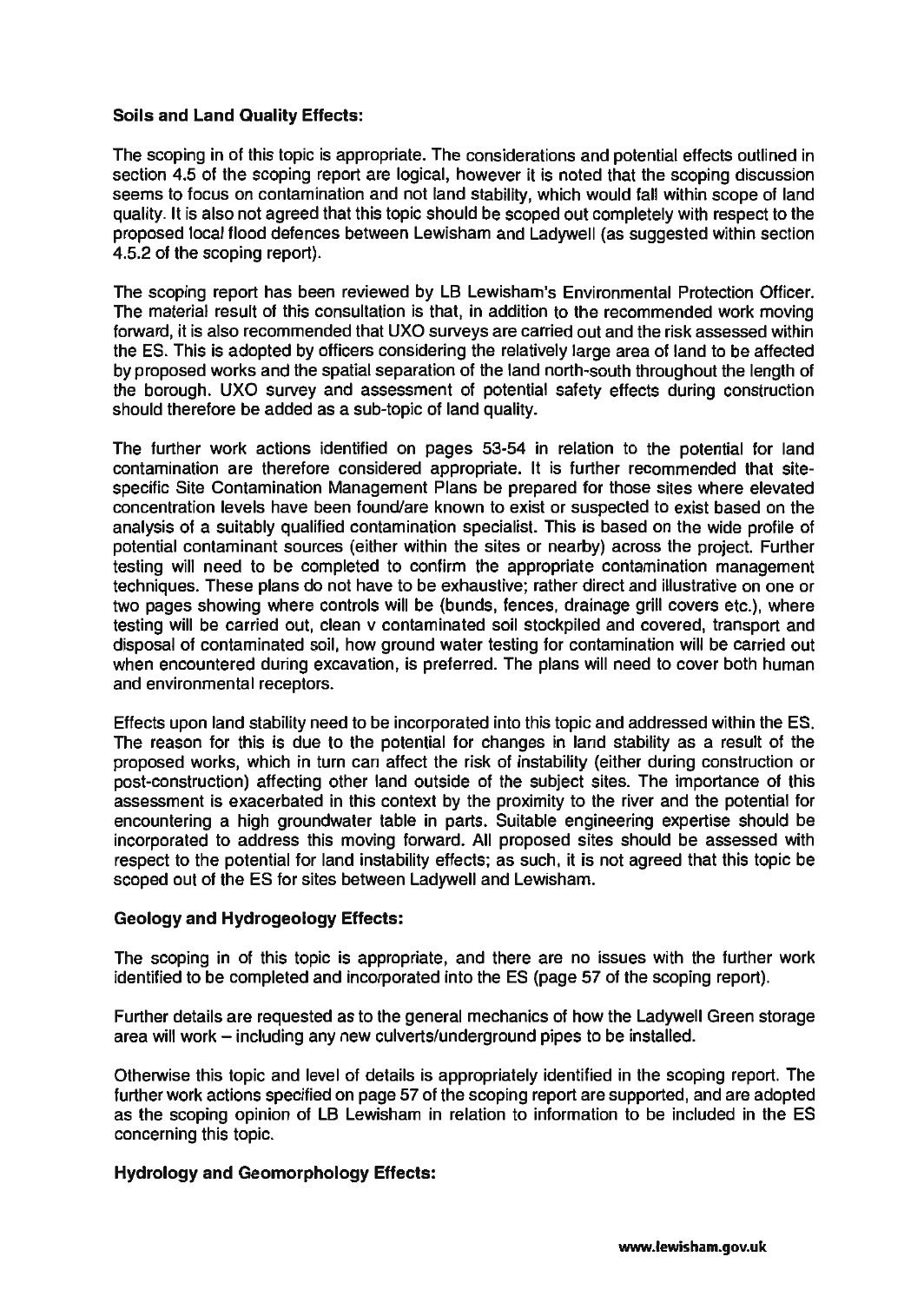## Soils and Land Quality Effects:

The scoping in of this topic is appropriate. The considerations and potential effects outlined in section 4.5 of the scoping report are logical, however it is noted that the scoping discussion seems to focus on contamination and not land stability, which would fall within scope of land quality. It is also not agreed that this topic should be scoped out completely with respect to the proposed local flood defences between Lewisham and Ladywell (as suggested within section 4.5.2 of the scoping report).

The scoping report has been reviewed by LB Lewisham's Environmental Protection Officer. The material result of this consultation is that, in addition to the recommended work moving forward, it is also recommended that UXO surveys are carried out and the risk assessed within the ES. This is adopted by officers considering the relatively large area of land to be affected by proposed works and the spatial separation of the land north-south throughout the length of the borough. UXO survey and assessment of potential safety effects during construction should therefore be added as a sub-topic of land quality.

The further work actions identified on pages 53-54 in relation to the potential for land contamination are therefore considered appropriate. It is further recommended that sitespecific Site Contamination Management Plans be prepared for those sites where elevated concentration levels have been found/are known to exist or suspected to exist based on the analysis of a suitably qualified contamination specialist. This is based on the wide profile of potential contaminant sources (either within the sites or nearby) across the project. Further testing will need to be completed to confirm the appropriate contamination management techniques. These plans do not have to be exhaustive; rather direct and illustrative on one or two pages showing where controls will be (bunds, fences, drainage grill covers etc.), where testing will be carried out, clean v contaminated soil stockpiled and covered, transport and disposal of contaminated soil, how ground water testing for contamination will be carried out when encountered during excavation, is preferred. The plans will need to cover both human and environmental receptors.

Effects upon land stability need to be incorporated into this topic and addressed within the ES. The reason for this is due to the potential for changes in land stability as a result of the proposed works, which in turn can affect the risk of instability (either during construction or post-construction) affecting other land outside of the subject sites. The importance of this assessment is exacerbated in this context by the proximity to the river and the potential for encountering a high groundwater table in parts. Suitable engineering expertise should be incorporated to address this moving forward. All proposed sites should be assessed with respect to the potential for land instability effects; as such, it is not agreed that this topic be scoped out of the ES for sites between Ladywell and Lewisham.

#### Geology and Hydrogeology Effects:

The scoping in of this topic is appropriate, and there are no issues with the further work identified to be completed and incorporated into the ES (page 57 of the scoping report).

Further details are requested as to the general mechanics of how the Ladywell Green storage area will work - including any new culverts/underground pipes to be installed.

Otherwise this topic and level of details is appropriately identified in the scoping report. The further work actions specified on page 57 of the scoping report are supported, and are adopted as the scoping opinion of LB Lewisham in relation to information to be included in the ES concerning this topic.

## Hydrology and Geomorphology Effects: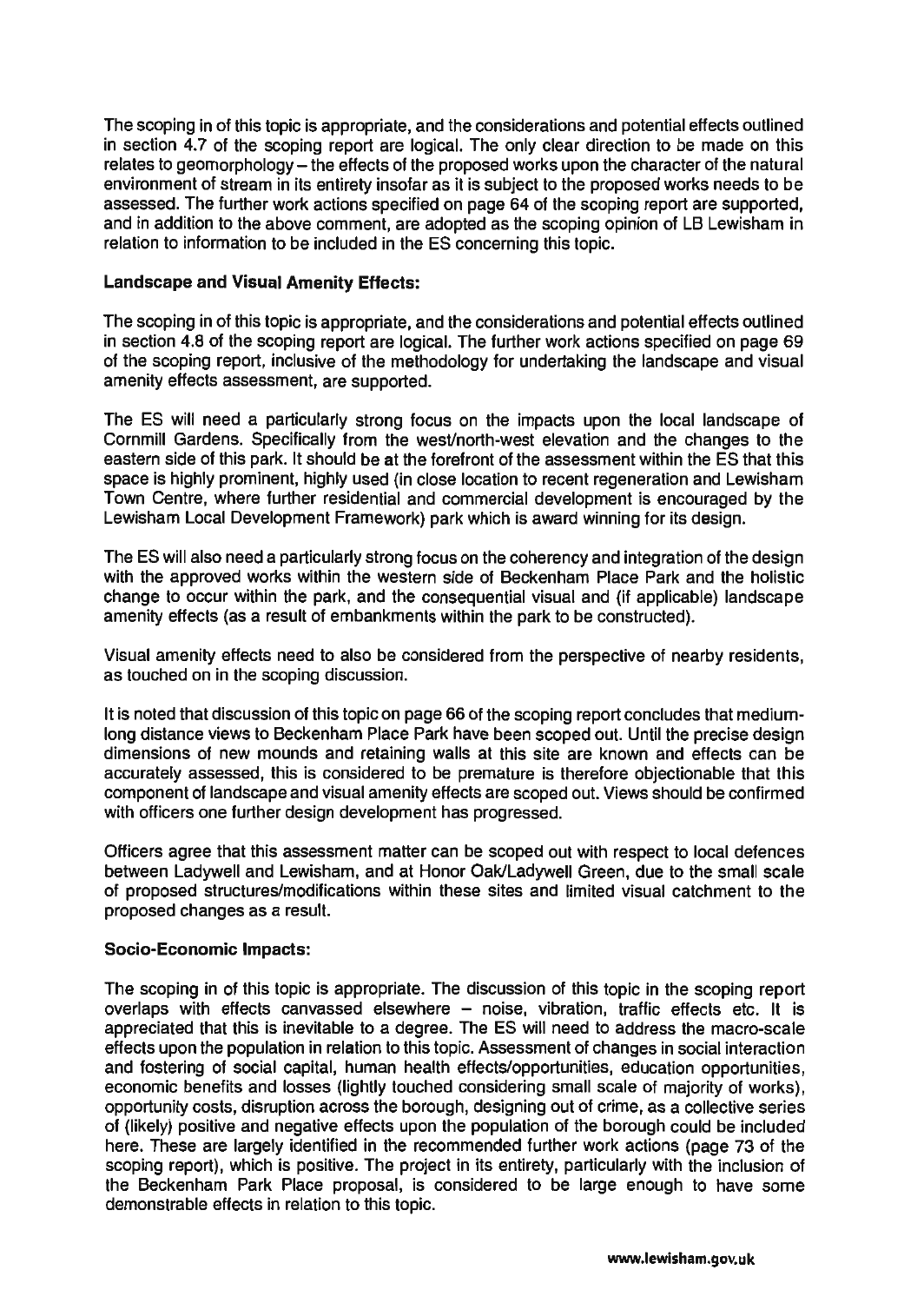The scoping in of this topic is appropriate, and the considerations and potential effects outlined in section 4.7 of the scoping report are logical. The only clear direction to be made on this relates to geomorphology – the effects of the proposed works upon the character of the natural environment of stream in its entirety insofar as it is subject to the proposed works needs to be assessed. The further work actions specified on page 64 of the scoping report are supported, and in addition to the above comment, are adopted as the scoping opinion of LB Lewisham in relation to information to be included in the ES concerning this topic.

### Landscape and Visual Amenity Effects:

The scoping in of this topic is appropriate, and the considerations and potential effects outlined in section 4.8 of the scoping report are logical. The further work actions specified on page 69 of the scoping report, inclusive of the methodology for undertaking the landscape and visual amenity effects assessment, are supported.

The ES will need a particularly strong focus on the impacts upon the local landscape of Cornmill Gardens. Specifically from the west/north-west elevation and the changes to the eastern side of this park. It should be at the forefront of the assessment within the ES that this space is highly prominent, highly used (in close location to recent regeneration and Lewisham Town Centre, where further residential and commercial development is encouraged by the Lewisham Local Development Framework) park which is award winning for its design.

The ES will also need a particularly strong focus on the coherency and integration of the design with the approved works within the western side of Beckenham Place Park and the holistic change to occur within the park, and the consequential visual and (if applicable) landscape amenity effects (as a result of embankments within the park to be constructed).

Visual amenity effects need to also be considered from the perspective of nearby residents, as touched on in the scoping discussion.

It is noted that discussion of this topic on page 66 of the scoping report concludes that mediumlong distance views to Beckenham Place Park have been scoped out. Until the precise design dimensions of new mounds and retaining walls at this site are known and effects can be accurately assessed, this is considered to be premature is therefore objectionable that this component of landscape and visual amenity effects are scoped out. Views should be confirmed with officers one further design development has progressed.

Officers agree that this assessment matter can be scoped out with respect to local defences between Ladywell and Lewisham, and at Honor OaklLadywell Green, due to the small scale of proposed structures/modifications within these sites and limited visual catchment to the proposed changes as a result.

#### Socio-Economic Impacts:

The scoping in of this topic is appropriate. The discussion of this topic in the scoping report overlaps with effects canvassed elsewhere - noise, vibration, traffic effects etc. It is appreciated that this is inevitable to a degree. The ES will need to address the macro-scale effects upon the population in relation to this topic. Assessment of changes in social interaction and fostering of social capital, human health effects/opportunities, education opportunities, economic benefits and losses (lightly touched considering small scale of majority of works), opportunity costs, disruption across the borough, designing out of crime, as a collective series of (likely) positive and negative effects upon the population of the borough could be included here. These are largely identified in the recommended further work actions (page 73 of the scoping report), which is positive. The project in its entirety, particularly with the inclusion of the Beckenham Park Place proposal, is considered to be large enough to have some demonstrable effects in relation to this topic.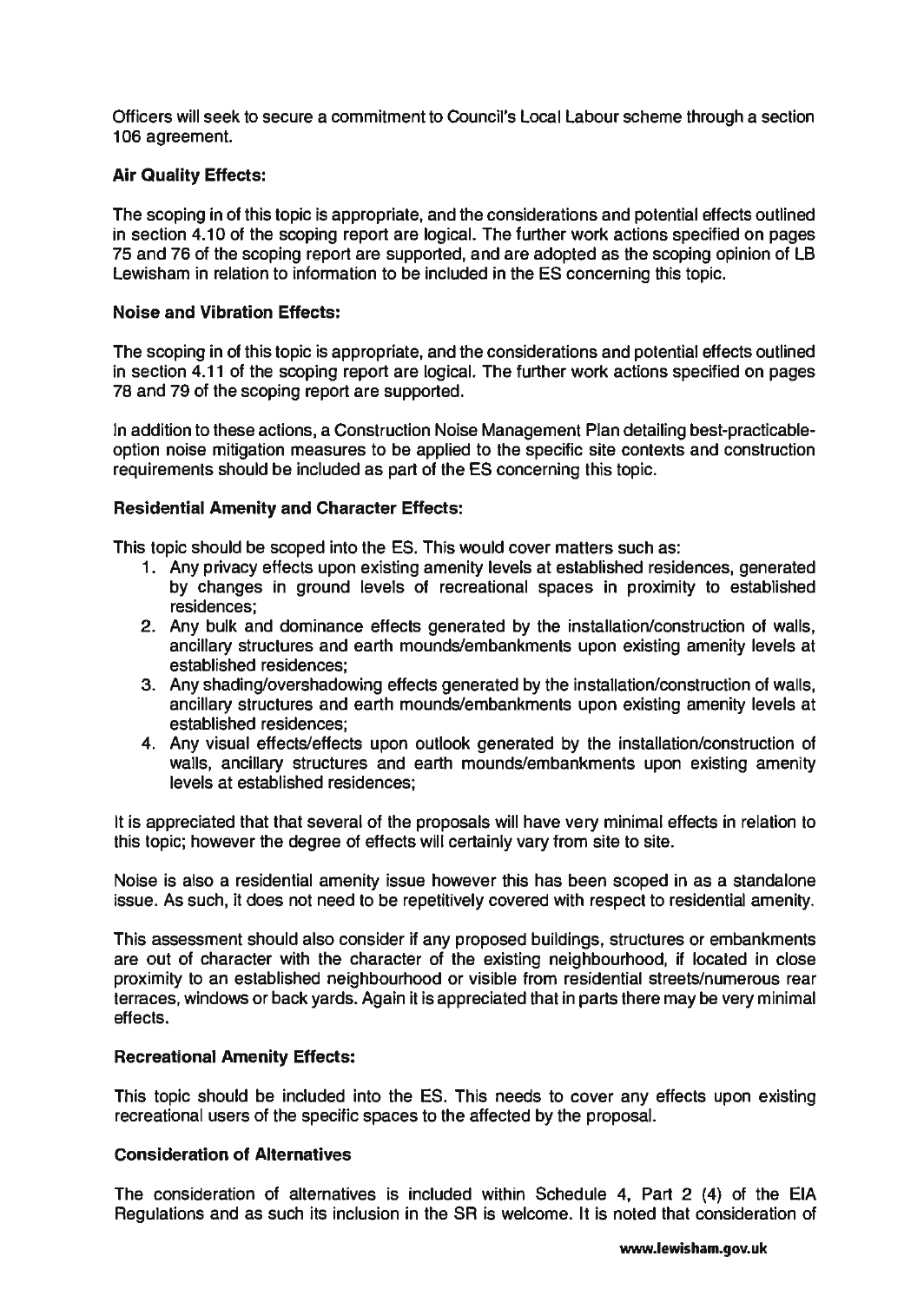Officers will seek to secure a commitment to Council's Local Labour scheme through a section 106 agreement.

### Air Quality Effects:

The scoping in of this topic is appropriate, and the considerations and potential effects outlined in section 4.10 of the scoping report are logical. The further work actions specified on pages 75 and 76 of the scoping report are supported, and are adopted as the scoping opinion of LB Lewisham in relation to information to be included in the ES concerning this topic.

### Noise and Vibration Effects:

The scoping in of this topic is appropriate, and the considerations and potential effects outlined in section 4.11 of the scoping report are logical. The further work actions specified on pages 78 and 79 of the scoping report are supported.

In addition to these actions, a Construction Noise Management Plan detailing best-practicableoption noise mitigation measures to be applied to the specific site contexts and construction requirements should be included as part of the ES concerning this topic.

### Residential Amenity and Character Effects:

This topic should be scoped into the ES. This would cover matters such as:

- 1. Any privacy effects upon existing amenity levels at established residences, generated by changes in ground levels of recreational spaces in proximity to established residences;
- 2. Any bulk and dominance effects generated by the installation/construction of walls, ancillary structures and earth mounds/embankments upon existing amenity levels at established residences;
- 3. Any shading/overshadowing effects generated by the installation/construction of walls, ancillary structures and earth mounds/embankments upon existing amenity levels at established residences;
- 4. Any visual effects/effects upon outlook generated by the installation/construction of walls, ancillary structures and earth mounds/embankments upon existing amenity levels at established residences;

It is appreciated that that several of the proposals will have very minimal effects in relation to this topic; however the degree of effects will certainly vary from site to site.

Noise is also a residential amenity issue however this has been scoped in as a standalone issue. As such, it does not need to be repetitively covered with respect to residential amenity.

This assessment should also consider if any proposed buildings, structures or embankments are out of character with the character of the existing neighbourhood, if located in close proximity to an established neighbourhood or visible from residential streets/numerous rear terraces, windows or back yards. Again it is appreciated that in parts there may be very minimal effects.

#### Recreational Amenity Effects:

This topic should be included into the ES. This needs to cover any effects upon existing recreational users of the specific spaces to the affected by the proposal.

### Consideration of Alternatives

The consideration of alternatives is included within Schedule 4, Part 2 (4) of the EIA Regulations and as such its inclusion in the SR is welcome. It is noted that consideration of